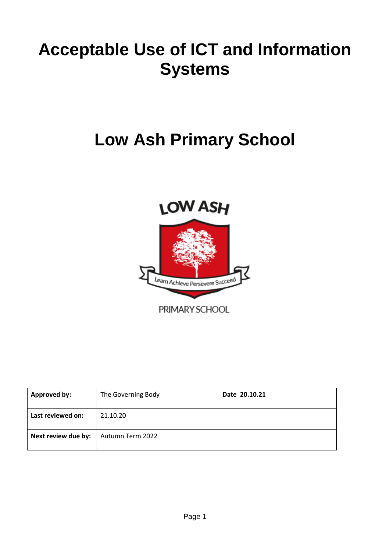# **Acceptable Use of ICT and Information Systems**

# **Low Ash Primary School**



PRIMARY SCHOOL

| <b>Approved by:</b> | The Governing Body | Date 20.10.21 |
|---------------------|--------------------|---------------|
| Last reviewed on:   | 21.10.20           |               |
| Next review due by: | Autumn Term 2022   |               |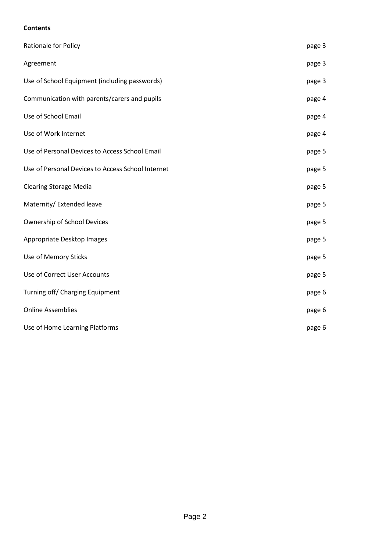# **Contents**

| Rationale for Policy                              | page 3 |
|---------------------------------------------------|--------|
| Agreement                                         | page 3 |
| Use of School Equipment (including passwords)     | page 3 |
| Communication with parents/carers and pupils      | page 4 |
| Use of School Email                               | page 4 |
| Use of Work Internet                              | page 4 |
| Use of Personal Devices to Access School Email    | page 5 |
| Use of Personal Devices to Access School Internet | page 5 |
| <b>Clearing Storage Media</b>                     | page 5 |
| Maternity/ Extended leave                         | page 5 |
| Ownership of School Devices                       | page 5 |
| Appropriate Desktop Images                        | page 5 |
| Use of Memory Sticks                              | page 5 |
| Use of Correct User Accounts                      | page 5 |
| Turning off/ Charging Equipment                   | page 6 |
| <b>Online Assemblies</b>                          | page 6 |
| Use of Home Learning Platforms                    | page 6 |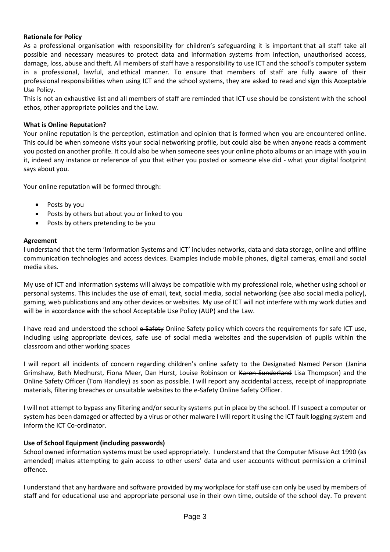## **Rationale for Policy**

As a professional organisation with responsibility for children's safeguarding it is important that all staff take all possible and necessary measures to protect data and information systems from infection, unauthorised access, damage, loss, abuse and theft. All members of staff have a responsibility to use ICT and the school's computer system in a professional, lawful, and ethical manner. To ensure that members of staff are fully aware of their professional responsibilities when using ICT and the school systems, they are asked to read and sign this Acceptable Use Policy.

This is not an exhaustive list and all members of staff are reminded that ICT use should be consistent with the school ethos, other appropriate policies and the Law.

## **What is Online Reputation?**

Your online reputation is the perception, estimation and opinion that is formed when you are encountered online. This could be when someone visits your social networking profile, but could also be when anyone reads a comment you posted on another profile. It could also be when someone sees your online photo albums or an image with you in it, indeed any instance or reference of you that either you posted or someone else did - what your digital footprint says about you.

Your online reputation will be formed through:

- Posts by you
- Posts by others but about you or linked to you
- Posts by others pretending to be you

## **Agreement**

I understand that the term 'Information Systems and ICT' includes networks, data and data storage, online and offline communication technologies and access devices. Examples include mobile phones, digital cameras, email and social media sites.

My use of ICT and information systems will always be compatible with my professional role, whether using school or personal systems. This includes the use of email, text, social media, social networking (see also social media policy), gaming, web publications and any other devices or websites. My use of ICT will not interfere with my work duties and will be in accordance with the school Acceptable Use Policy (AUP) and the Law.

I have read and understood the school e-Safety Online Safety policy which covers the requirements for safe ICT use, including using appropriate devices, safe use of social media websites and the supervision of pupils within the classroom and other working spaces

I will report all incidents of concern regarding children's online safety to the Designated Named Person (Janina Grimshaw, Beth Medhurst, Fiona Meer, Dan Hurst, Louise Robinson or Karen Sunderland Lisa Thompson) and the Online Safety Officer (Tom Handley) as soon as possible. I will report any accidental access, receipt of inappropriate materials, filtering breaches or unsuitable websites to the e-Safety Online Safety Officer.

I will not attempt to bypass any filtering and/or security systems put in place by the school. If I suspect a computer or system has been damaged or affected by a virus or other malware I will report it using the ICT fault logging system and inform the ICT Co-ordinator.

## **Use of School Equipment (including passwords)**

School owned information systems must be used appropriately. I understand that the Computer Misuse Act 1990 (as amended) makes attempting to gain access to other users' data and user accounts without permission a criminal offence.

I understand that any hardware and software provided by my workplace for staff use can only be used by members of staff and for educational use and appropriate personal use in their own time, outside of the school day. To prevent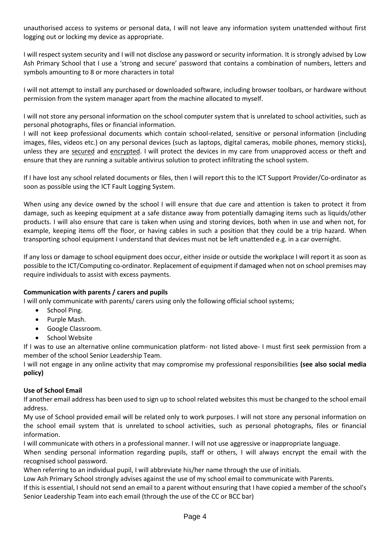unauthorised access to systems or personal data, I will not leave any information system unattended without first logging out or locking my device as appropriate.

I will respect system security and I will not disclose any password or security information. It is strongly advised by Low Ash Primary School that I use a 'strong and secure' password that contains a combination of numbers, letters and symbols amounting to 8 or more characters in total

I will not attempt to install any purchased or downloaded software, including browser toolbars, or hardware without permission from the system manager apart from the machine allocated to myself.

I will not store any personal information on the school computer system that is unrelated to school activities, such as personal photographs, files or financial information.

I will not keep professional documents which contain school-related, sensitive or personal information (including images, files, videos etc.) on any personal devices (such as laptops, digital cameras, mobile phones, memory sticks), unless they are secured and encrypted. I will protect the devices in my care from unapproved access or theft and ensure that they are running a suitable antivirus solution to protect infiltrating the school system.

If I have lost any school related documents or files, then I will report this to the ICT Support Provider/Co-ordinator as soon as possible using the ICT Fault Logging System.

When using any device owned by the school I will ensure that due care and attention is taken to protect it from damage, such as keeping equipment at a safe distance away from potentially damaging items such as liquids/other products. I will also ensure that care is taken when using and storing devices, both when in use and when not, for example, keeping items off the floor, or having cables in such a position that they could be a trip hazard. When transporting school equipment I understand that devices must not be left unattended e.g. in a car overnight.

If any loss or damage to school equipment does occur, either inside or outside the workplace I will report it as soon as possible to the ICT/Computing co-ordinator. Replacement of equipment if damaged when not on school premises may require individuals to assist with excess payments.

# **Communication with parents / carers and pupils**

I will only communicate with parents/ carers using only the following official school systems;

- School Ping.
- Purple Mash.
- Google Classroom.
- School Website

If I was to use an alternative online communication platform- not listed above- I must first seek permission from a member of the school Senior Leadership Team.

I will not engage in any online activity that may compromise my professional responsibilities **(see also social media policy)**

## **Use of School Email**

If another email address has been used to sign up to school related websites this must be changed to the school email address.

My use of School provided email will be related only to work purposes. I will not store any personal information on the school email system that is unrelated to school activities, such as personal photographs, files or financial information.

I will communicate with others in a professional manner. I will not use aggressive or inappropriate language.

When sending personal information regarding pupils, staff or others, I will always encrypt the email with the recognised school password.

When referring to an individual pupil, I will abbreviate his/her name through the use of initials.

Low Ash Primary School strongly advises against the use of my school email to communicate with Parents.

If this is essential, I should not send an email to a parent without ensuring that I have copied a member of the school's Senior Leadership Team into each email (through the use of the CC or BCC bar)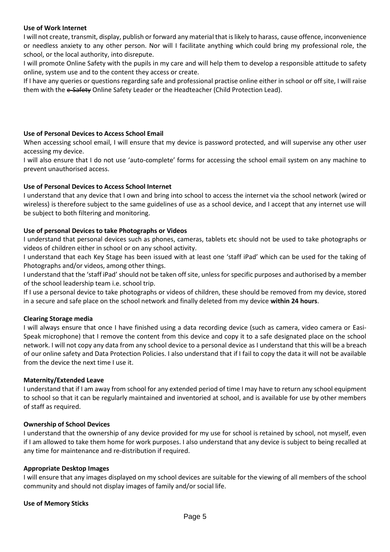## **Use of Work Internet**

I will not create, transmit, display, publish or forward any material that is likely to harass, cause offence, inconvenience or needless anxiety to any other person. Nor will I facilitate anything which could bring my professional role, the school, or the local authority, into disrepute.

I will promote Online Safety with the pupils in my care and will help them to develop a responsible attitude to safety online, system use and to the content they access or create.

If I have any queries or questions regarding safe and professional practise online either in school or off site, I will raise them with the e-Safety Online Safety Leader or the Headteacher (Child Protection Lead).

## **Use of Personal Devices to Access School Email**

When accessing school email, I will ensure that my device is password protected, and will supervise any other user accessing my device.

I will also ensure that I do not use 'auto-complete' forms for accessing the school email system on any machine to prevent unauthorised access.

## **Use of Personal Devices to Access School Internet**

I understand that any device that I own and bring into school to access the internet via the school network (wired or wireless) is therefore subject to the same guidelines of use as a school device, and I accept that any internet use will be subject to both filtering and monitoring.

## **Use of personal Devices to take Photographs or Videos**

I understand that personal devices such as phones, cameras, tablets etc should not be used to take photographs or videos of children either in school or on any school activity.

I understand that each Key Stage has been issued with at least one 'staff iPad' which can be used for the taking of Photographs and/or videos, among other things.

I understand that the 'staff iPad' should not be taken off site, unless for specific purposes and authorised by a member of the school leadership team i.e. school trip.

If I use a personal device to take photographs or videos of children, these should be removed from my device, stored in a secure and safe place on the school network and finally deleted from my device **within 24 hours**.

## **Clearing Storage media**

I will always ensure that once I have finished using a data recording device (such as camera, video camera or Easi-Speak microphone) that I remove the content from this device and copy it to a safe designated place on the school network. I will not copy any data from any school device to a personal device as I understand that this will be a breach of our online safety and Data Protection Policies. I also understand that if I fail to copy the data it will not be available from the device the next time I use it.

## **Maternity/Extended Leave**

I understand that if I am away from school for any extended period of time I may have to return any school equipment to school so that it can be regularly maintained and inventoried at school, and is available for use by other members of staff as required.

## **Ownership of School Devices**

I understand that the ownership of any device provided for my use for school is retained by school, not myself, even if I am allowed to take them home for work purposes. I also understand that any device is subject to being recalled at any time for maintenance and re-distribution if required.

## **Appropriate Desktop Images**

I will ensure that any images displayed on my school devices are suitable for the viewing of all members of the school community and should not display images of family and/or social life.

## **Use of Memory Sticks**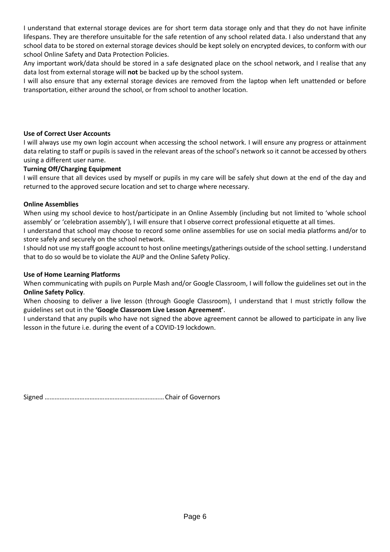I understand that external storage devices are for short term data storage only and that they do not have infinite lifespans. They are therefore unsuitable for the safe retention of any school related data. I also understand that any school data to be stored on external storage devices should be kept solely on encrypted devices, to conform with our school Online Safety and Data Protection Policies.

Any important work/data should be stored in a safe designated place on the school network, and I realise that any data lost from external storage will **not** be backed up by the school system.

I will also ensure that any external storage devices are removed from the laptop when left unattended or before transportation, either around the school, or from school to another location.

# **Use of Correct User Accounts**

I will always use my own login account when accessing the school network. I will ensure any progress or attainment data relating to staff or pupils is saved in the relevant areas of the school's network so it cannot be accessed by others using a different user name.

## **Turning Off/Charging Equipment**

I will ensure that all devices used by myself or pupils in my care will be safely shut down at the end of the day and returned to the approved secure location and set to charge where necessary.

## **Online Assemblies**

When using my school device to host/participate in an Online Assembly (including but not limited to 'whole school assembly' or 'celebration assembly'), I will ensure that I observe correct professional etiquette at all times.

I understand that school may choose to record some online assemblies for use on social media platforms and/or to store safely and securely on the school network.

I should not use my staff google account to host online meetings/gatherings outside of the school setting. I understand that to do so would be to violate the AUP and the Online Safety Policy.

## **Use of Home Learning Platforms**

When communicating with pupils on Purple Mash and/or Google Classroom, I will follow the guidelines set out in the **Online Safety Policy**.

When choosing to deliver a live lesson (through Google Classroom), I understand that I must strictly follow the guidelines set out in the **'Google Classroom Live Lesson Agreement'**.

I understand that any pupils who have not signed the above agreement cannot be allowed to participate in any live lesson in the future i.e. during the event of a COVID-19 lockdown.

Signed ………………………………………………………………Chair of Governors